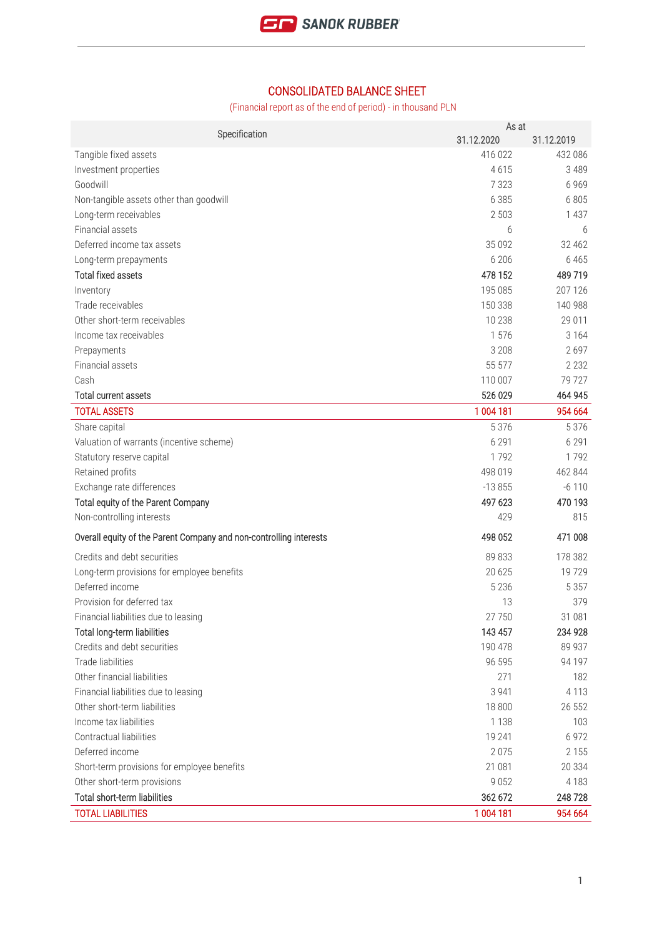

## CONSOLIDATED BALANCE SHEET

(Financial report as of the end of period) - in thousand PLN

| Specification                                                      | As at<br>31.12.2020 | 31.12.2019 |
|--------------------------------------------------------------------|---------------------|------------|
| Tangible fixed assets                                              | 416 022             | 432 086    |
| Investment properties                                              | 4615                | 3 4 8 9    |
| Goodwill                                                           | 7 3 2 3             | 6 9 6 9    |
| Non-tangible assets other than goodwill                            | 6 3 8 5             | 6805       |
| Long-term receivables                                              | 2 5 0 3             | 1 4 3 7    |
| Financial assets                                                   | 6                   | 6          |
| Deferred income tax assets                                         | 35 0 92             | 32 4 62    |
| Long-term prepayments                                              | 6 20 6              | 6 4 6 5    |
| <b>Total fixed assets</b>                                          | 478 152             | 489 719    |
| Inventory                                                          | 195 085             | 207 126    |
| Trade receivables                                                  | 150 338             | 140 988    |
| Other short-term receivables                                       | 10 238              | 29 011     |
| Income tax receivables                                             | 1576                | 3 1 6 4    |
| Prepayments                                                        | 3 2 0 8             | 2697       |
| Financial assets                                                   | 55 577              | 2 2 3 2    |
| Cash                                                               | 110 007             | 79 727     |
| <b>Total current assets</b>                                        | 526 029             | 464 945    |
| <b>TOTAL ASSETS</b>                                                | 1 004 181           | 954 664    |
| Share capital                                                      | 5 3 7 6             | 5 3 7 6    |
| Valuation of warrants (incentive scheme)                           | 6 2 9 1             | 6 2 9 1    |
| Statutory reserve capital                                          | 1792                | 1792       |
| Retained profits                                                   | 498 019             | 462 844    |
| Exchange rate differences                                          | $-13855$            | $-6110$    |
| Total equity of the Parent Company                                 | 497 623             | 470 193    |
| Non-controlling interests                                          | 429                 | 815        |
| Overall equity of the Parent Company and non-controlling interests | 498 052             | 471 008    |
| Credits and debt securities                                        | 89 833              | 178 382    |
| Long-term provisions for employee benefits                         | 20 6 25             | 19729      |
| Deferred income                                                    | 5 2 3 6             | 5 3 5 7    |
| Provision for deferred tax                                         | 13                  | 379        |
| Financial liabilities due to leasing                               | 27 750              | 31 081     |
| Total long-term liabilities                                        | 143 457             | 234 928    |
| Credits and debt securities                                        | 190 478             | 89 937     |
| Trade liabilities                                                  | 96 595              | 94 197     |
| Other financial liabilities                                        | 271                 | 182        |
| Financial liabilities due to leasing                               | 3 9 4 1             | 4 1 1 3    |
| Other short-term liabilities                                       | 18 800              | 26 552     |
| Income tax liabilities                                             | 1 1 3 8             | 103        |
| <b>Contractual liabilities</b>                                     | 19 241              | 6 9 7 2    |
| Deferred income                                                    | 2075                | 2 1 5 5    |
| Short-term provisions for employee benefits                        | 21 081              | 20 334     |
| Other short-term provisions                                        | 9 0 5 2             | 4 1 8 3    |
| Total short-term liabilities                                       | 362 672             | 248728     |
| <b>TOTAL LIABILITIES</b>                                           | 1 004 181           | 954 664    |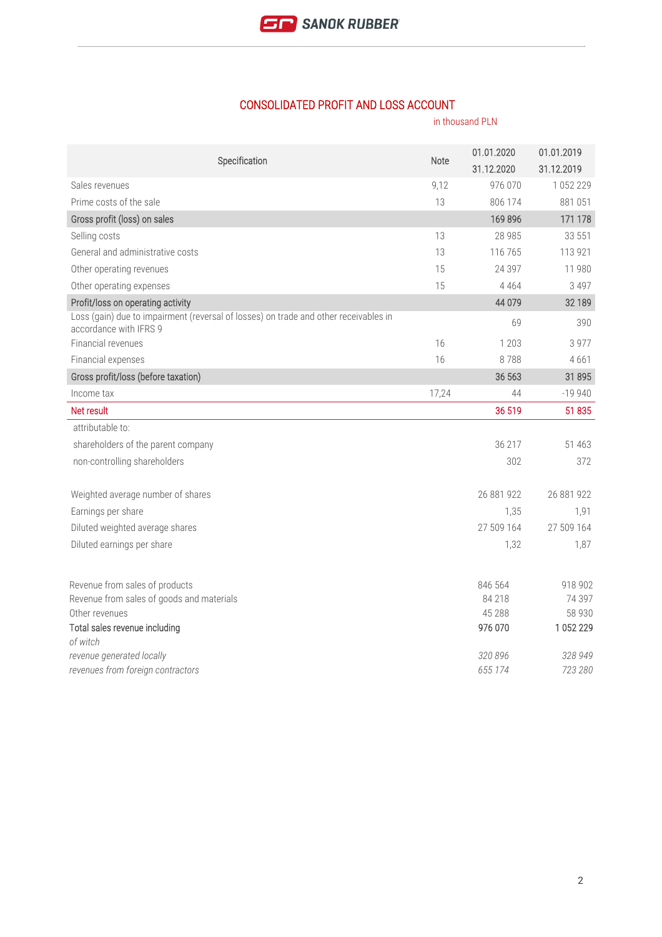

## CONSOLIDATED PROFIT AND LOSS ACCOUNT

|                                                                                                                | in thousand PLN |                          |                          |
|----------------------------------------------------------------------------------------------------------------|-----------------|--------------------------|--------------------------|
| Specification                                                                                                  | Note            | 01.01.2020<br>31.12.2020 | 01.01.2019<br>31.12.2019 |
| Sales revenues                                                                                                 | 9,12            | 976 070                  | 1 0 5 2 2 2 9            |
| Prime costs of the sale                                                                                        | 13              | 806 174                  | 881051                   |
| Gross profit (loss) on sales                                                                                   |                 | 169896                   | 171 178                  |
| Selling costs                                                                                                  | 13              | 28 985                   | 33 551                   |
| General and administrative costs                                                                               | 13              | 116 765                  | 113 921                  |
| Other operating revenues                                                                                       | 15              | 24 397                   | 11 980                   |
| Other operating expenses                                                                                       | 15              | 4 4 6 4                  | 3 4 9 7                  |
| Profit/loss on operating activity                                                                              |                 | 44 0 79                  | 32 189                   |
| Loss (gain) due to impairment (reversal of losses) on trade and other receivables in<br>accordance with IFRS 9 |                 | 69                       | 390                      |
| Financial revenues                                                                                             | 16              | 1 203                    | 3 9 7 7                  |
| Financial expenses                                                                                             | 16              | 8788                     | 4661                     |
| Gross profit/loss (before taxation)                                                                            |                 | 36 563                   | 31895                    |
| Income tax                                                                                                     | 17,24           | 44                       | $-19940$                 |
| Net result                                                                                                     |                 | 36 519                   | 51 835                   |
| attributable to:                                                                                               |                 |                          |                          |
| shareholders of the parent company                                                                             |                 | 36 217                   | 51 4 63                  |
| non-controlling shareholders                                                                                   |                 | 302                      | 372                      |
| Weighted average number of shares                                                                              |                 | 26 881 922               | 26 881 922               |
| Earnings per share                                                                                             |                 | 1,35                     | 1,91                     |
| Diluted weighted average shares                                                                                |                 | 27 509 164               | 27 509 164               |
| Diluted earnings per share                                                                                     |                 | 1,32                     | 1,87                     |
| Revenue from sales of products                                                                                 |                 | 846 564                  | 918 902                  |
| Revenue from sales of goods and materials                                                                      |                 | 84 218                   | 74 397                   |
| Other revenues                                                                                                 |                 | 45 288                   | 58 930                   |
| Total sales revenue including                                                                                  |                 | 976 070                  | 1 052 229                |
| of witch<br>revenue generated locally                                                                          |                 | 320 896                  | 328 949                  |
| revenues from foreign contractors                                                                              |                 | 655 174                  | 723 280                  |